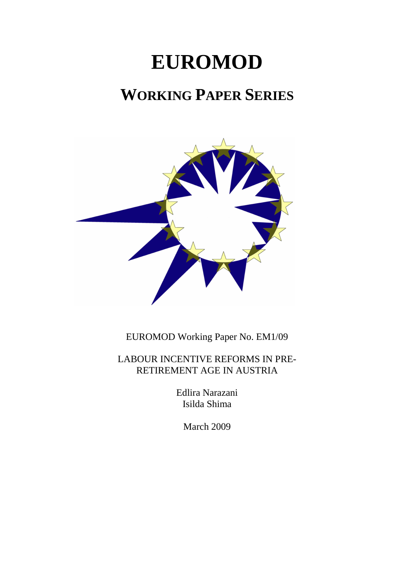# **EUROMOD**

## **WORKING PAPER SERIES**



EUROMOD Working Paper No. EM1/09

LABOUR INCENTIVE REFORMS IN PRE-RETIREMENT AGE IN AUSTRIA

> Edlira Narazani Isilda Shima

> > March 2009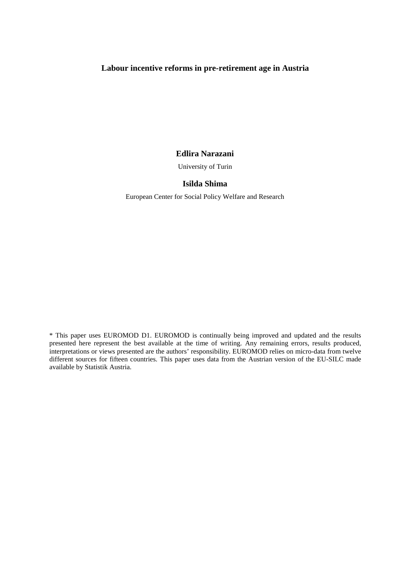#### **Labour incentive reforms in pre-retirement age in Austria**

#### **Edlira Narazani**

University of Turin

#### **Isilda Shima**

European Center for Social Policy Welfare and Research

\* This paper uses EUROMOD D1. EUROMOD is continually being improved and updated and the results presented here represent the best available at the time of writing. Any remaining errors, results produced, interpretations or views presented are the authors' responsibility. EUROMOD relies on micro-data from twelve different sources for fifteen countries. This paper uses data from the Austrian version of the EU-SILC made available by Statistik Austria.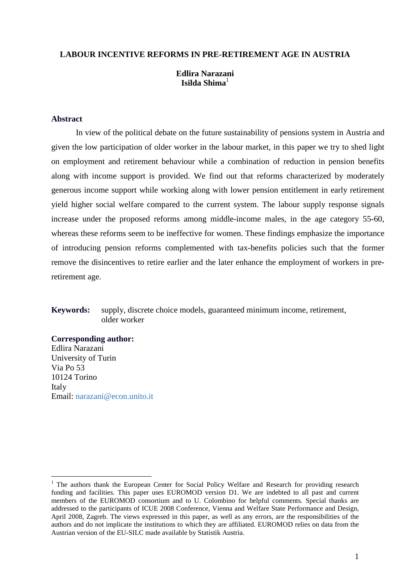#### **LABOUR INCENTIVE REFORMS IN PRE-RETIREMENT AGE IN AUSTRIA**

#### **Edlira Narazani Isilda Shima**<sup>1</sup>

#### **Abstract**

In view of the political debate on the future sustainability of pensions system in Austria and given the low participation of older worker in the labour market, in this paper we try to shed light on employment and retirement behaviour while a combination of reduction in pension benefits along with income support is provided. We find out that reforms characterized by moderately generous income support while working along with lower pension entitlement in early retirement yield higher social welfare compared to the current system. The labour supply response signals increase under the proposed reforms among middle-income males, in the age category 55-60, whereas these reforms seem to be ineffective for women. These findings emphasize the importance of introducing pension reforms complemented with tax-benefits policies such that the former remove the disincentives to retire earlier and the later enhance the employment of workers in preretirement age.

#### **Keywords:** supply, discrete choice models, guaranteed minimum income, retirement, older worker

#### **Corresponding author:**

 $\overline{a}$ 

Edlira Narazani University of Turin Via Po 53 10124 Torino Italy Email: narazani@econ.unito.it

<sup>&</sup>lt;sup>1</sup> The authors thank the European Center for Social Policy Welfare and Research for providing research funding and facilities. This paper uses EUROMOD version D1. We are indebted to all past and current members of the EUROMOD consortium and to U. Colombino for helpful comments. Special thanks are addressed to the participants of ICUE 2008 Conference, Vienna and Welfare State Performance and Design, April 2008, Zagreb. The views expressed in this paper, as well as any errors, are the responsibilities of the authors and do not implicate the institutions to which they are affiliated. EUROMOD relies on data from the Austrian version of the EU-SILC made available by Statistik Austria.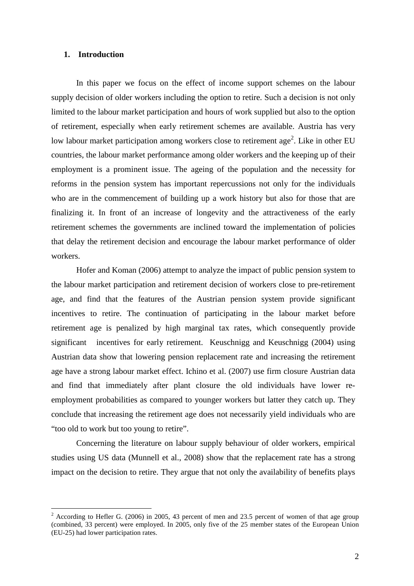#### **1. Introduction**

In this paper we focus on the effect of income support schemes on the labour supply decision of older workers including the option to retire. Such a decision is not only limited to the labour market participation and hours of work supplied but also to the option of retirement, especially when early retirement schemes are available. Austria has very low labour market participation among workers close to retirement age<sup>2</sup>. Like in other EU countries, the labour market performance among older workers and the keeping up of their employment is a prominent issue. The ageing of the population and the necessity for reforms in the pension system has important repercussions not only for the individuals who are in the commencement of building up a work history but also for those that are finalizing it. In front of an increase of longevity and the attractiveness of the early retirement schemes the governments are inclined toward the implementation of policies that delay the retirement decision and encourage the labour market performance of older workers.

Hofer and Koman (2006) attempt to analyze the impact of public pension system to the labour market participation and retirement decision of workers close to pre-retirement age, and find that the features of the Austrian pension system provide significant incentives to retire. The continuation of participating in the labour market before retirement age is penalized by high marginal tax rates, which consequently provide significant incentives for early retirement. Keuschnigg and Keuschnigg (2004) using Austrian data show that lowering pension replacement rate and increasing the retirement age have a strong labour market effect. Ichino et al. (2007) use firm closure Austrian data and find that immediately after plant closure the old individuals have lower reemployment probabilities as compared to younger workers but latter they catch up. They conclude that increasing the retirement age does not necessarily yield individuals who are "too old to work but too young to retire".

 Concerning the literature on labour supply behaviour of older workers, empirical studies using US data (Munnell et al., 2008) show that the replacement rate has a strong impact on the decision to retire. They argue that not only the availability of benefits plays

<sup>&</sup>lt;sup>2</sup> According to Hefler G. (2006) in 2005, 43 percent of men and 23.5 percent of women of that age group (combined, 33 percent) were employed. In 2005, only five of the 25 member states of the European Union (EU-25) had lower participation rates.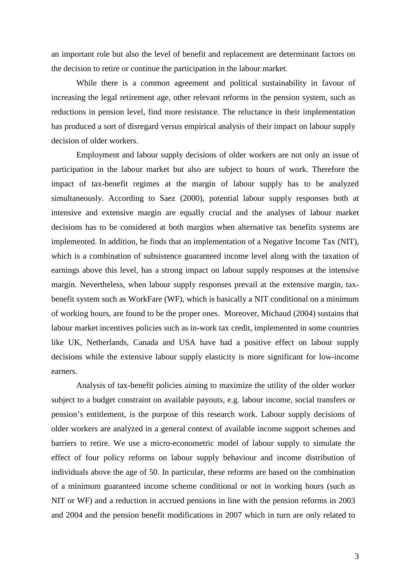an important role but also the level of benefit and replacement are determinant factors on the decision to retire or continue the participation in the labour market.

While there is a common agreement and political sustainability in favour of increasing the legal retirement age, other relevant reforms in the pension system, such as reductions in pension level, find more resistance. The reluctance in their implementation has produced a sort of disregard versus empirical analysis of their impact on labour supply decision of older workers.

Employment and labour supply decisions of older workers are not only an issue of participation in the labour market but also are subject to hours of work. Therefore the impact of tax-benefit regimes at the margin of labour supply has to be analyzed simultaneously. According to Saez (2000), potential labour supply responses both at intensive and extensive margin are equally crucial and the analyses of labour market decisions has to be considered at both margins when alternative tax benefits systems are implemented. In addition, he finds that an implementation of a Negative Income Tax (NIT), which is a combination of subsistence guaranteed income level along with the taxation of earnings above this level, has a strong impact on labour supply responses at the intensive margin. Nevertheless, when labour supply responses prevail at the extensive margin, taxbenefit system such as WorkFare (WF), which is basically a NIT conditional on a minimum of working hours, are found to be the proper ones. Moreover, Michaud (2004) sustains that labour market incentives policies such as in-work tax credit, implemented in some countries like UK, Netherlands, Canada and USA have had a positive effect on labour supply decisions while the extensive labour supply elasticity is more significant for low-income earners.

Analysis of tax-benefit policies aiming to maximize the utility of the older worker subject to a budget constraint on available payouts, e.g. labour income, social transfers or pension's entitlement, is the purpose of this research work. Labour supply decisions of older workers are analyzed in a general context of available income support schemes and barriers to retire. We use a micro-econometric model of labour supply to simulate the effect of four policy reforms on labour supply behaviour and income distribution of individuals above the age of 50. In particular, these reforms are based on the combination of a minimum guaranteed income scheme conditional or not in working hours (such as NIT or WF) and a reduction in accrued pensions in line with the pension reforms in 2003 and 2004 and the pension benefit modifications in 2007 which in turn are only related to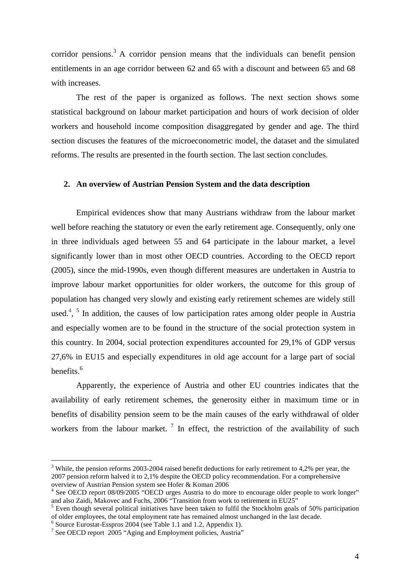corridor pensions.<sup>3</sup> A corridor pension means that the individuals can benefit pension entitlements in an age corridor between 62 and 65 with a discount and between 65 and 68 with increases

The rest of the paper is organized as follows. The next section shows some statistical background on labour market participation and hours of work decision of older workers and household income composition disaggregated by gender and age. The third section discuses the features of the microeconometric model, the dataset and the simulated reforms. The results are presented in the fourth section. The last section concludes.

#### **2. An overview of Austrian Pension System and the data description**

Empirical evidences show that many Austrians withdraw from the labour market well before reaching the statutory or even the early retirement age. Consequently, only one in three individuals aged between 55 and 64 participate in the labour market, a level significantly lower than in most other OECD countries. According to the OECD report (2005), since the mid-1990s, even though different measures are undertaken in Austria to improve labour market opportunities for older workers, the outcome for this group of population has changed very slowly and existing early retirement schemes are widely still used.<sup>4</sup>, <sup>5</sup> In addition, the causes of low participation rates among older people in Austria and especially women are to be found in the structure of the social protection system in this country. In 2004, social protection expenditures accounted for 29,1% of GDP versus 27,6% in EU15 and especially expenditures in old age account for a large part of social benefits. $<sup>6</sup>$ </sup>

Apparently, the experience of Austria and other EU countries indicates that the availability of early retirement schemes, the generosity either in maximum time or in benefits of disability pension seem to be the main causes of the early withdrawal of older workers from the labour market.<sup>7</sup> In effect, the restriction of the availability of such

 $\overline{a}$ 

 $3$  While, the pension reforms 2003-2004 raised benefit deductions for early retirement to 4,2% per year, the 2007 pension reform halved it to 2,1% despite the OECD policy recommendation. For a comprehensive overview of Austrian Pension system see Hofer & Koman 2006

<sup>&</sup>lt;sup>4</sup> See OECD report 08/09/2005 "OECD urges Austria to do more to encourage older people to work longer" and also Zaidi, Makovec and Fuchs, 2006 "Transition from work to retirement in EU25"

<sup>&</sup>lt;sup>5</sup> Even though several political initiatives have been taken to fulfil the Stockholm goals of 50% participation of older employees, the total employment rate has remained almost unchanged in the last decade.

<sup>6</sup> Source Eurostat-Esspros 2004 (see Table 1.1 and 1.2, Appendix 1).

<sup>&</sup>lt;sup>7</sup> See OECD report 2005 "Aging and Employment policies, Austria"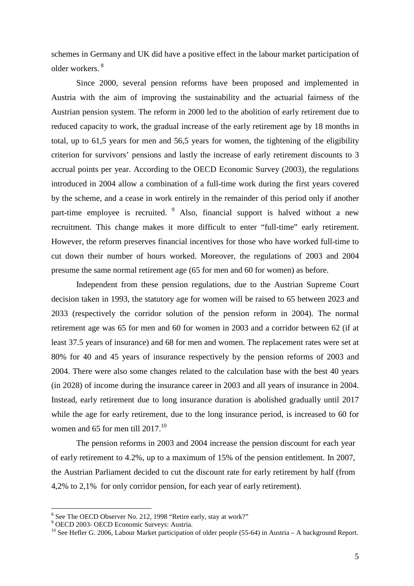schemes in Germany and UK did have a positive effect in the labour market participation of older workers. 8

Since 2000, several pension reforms have been proposed and implemented in Austria with the aim of improving the sustainability and the actuarial fairness of the Austrian pension system. The reform in 2000 led to the abolition of early retirement due to reduced capacity to work, the gradual increase of the early retirement age by 18 months in total, up to 61,5 years for men and 56,5 years for women, the tightening of the eligibility criterion for survivors' pensions and lastly the increase of early retirement discounts to 3 accrual points per year. According to the OECD Economic Survey (2003), the regulations introduced in 2004 allow a combination of a full-time work during the first years covered by the scheme, and a cease in work entirely in the remainder of this period only if another part-time employee is recruited. <sup>9</sup> Also, financial support is halved without a new recruitment. This change makes it more difficult to enter "full-time" early retirement. However, the reform preserves financial incentives for those who have worked full-time to cut down their number of hours worked. Moreover, the regulations of 2003 and 2004 presume the same normal retirement age (65 for men and 60 for women) as before.

Independent from these pension regulations, due to the Austrian Supreme Court decision taken in 1993, the statutory age for women will be raised to 65 between 2023 and 2033 (respectively the corridor solution of the pension reform in 2004). The normal retirement age was 65 for men and 60 for women in 2003 and a corridor between 62 (if at least 37.5 years of insurance) and 68 for men and women. The replacement rates were set at 80% for 40 and 45 years of insurance respectively by the pension reforms of 2003 and 2004. There were also some changes related to the calculation base with the best 40 years (in 2028) of income during the insurance career in 2003 and all years of insurance in 2004. Instead, early retirement due to long insurance duration is abolished gradually until 2017 while the age for early retirement, due to the long insurance period, is increased to 60 for women and 65 for men till  $2017$ <sup>10</sup>

The pension reforms in 2003 and 2004 increase the pension discount for each year of early retirement to 4.2%, up to a maximum of 15% of the pension entitlement. In 2007, the Austrian Parliament decided to cut the discount rate for early retirement by half (from 4,2% to 2,1% for only corridor pension, for each year of early retirement).

<sup>&</sup>lt;sup>8</sup> See The OECD Observer No. 212, 1998 "Retire early, stay at work?"

<sup>9</sup> OECD 2003- OECD Economic Surveys: Austria.

<sup>&</sup>lt;sup>10</sup> See Hefler G. 2006, Labour Market participation of older people (55-64) in Austria – A background Report.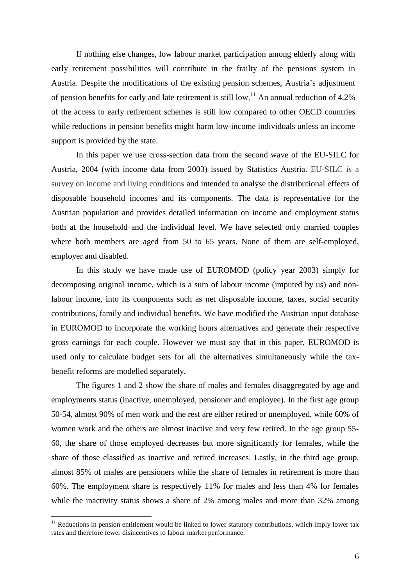If nothing else changes, low labour market participation among elderly along with early retirement possibilities will contribute in the frailty of the pensions system in Austria. Despite the modifications of the existing pension schemes, Austria's adjustment of pension benefits for early and late retirement is still low.<sup>11</sup> An annual reduction of 4.2% of the access to early retirement schemes is still low compared to other OECD countries while reductions in pension benefits might harm low-income individuals unless an income support is provided by the state.

In this paper we use cross-section data from the second wave of the EU-SILC for Austria, 2004 (with income data from 2003) issued by Statistics Austria. EU-SILC is a survey on income and living conditions and intended to analyse the distributional effects of disposable household incomes and its components. The data is representative for the Austrian population and provides detailed information on income and employment status both at the household and the individual level. We have selected only married couples where both members are aged from 50 to 65 years. None of them are self-employed, employer and disabled.

In this study we have made use of EUROMOD (policy year 2003) simply for decomposing original income, which is a sum of labour income (imputed by us) and nonlabour income, into its components such as net disposable income, taxes, social security contributions, family and individual benefits. We have modified the Austrian input database in EUROMOD to incorporate the working hours alternatives and generate their respective gross earnings for each couple. However we must say that in this paper, EUROMOD is used only to calculate budget sets for all the alternatives simultaneously while the taxbenefit reforms are modelled separately.

The figures 1 and 2 show the share of males and females disaggregated by age and employments status (inactive, unemployed, pensioner and employee). In the first age group 50-54, almost 90% of men work and the rest are either retired or unemployed, while 60% of women work and the others are almost inactive and very few retired. In the age group 55- 60, the share of those employed decreases but more significantly for females, while the share of those classified as inactive and retired increases. Lastly, in the third age group, almost 85% of males are pensioners while the share of females in retirement is more than 60%. The employment share is respectively 11% for males and less than 4% for females while the inactivity status shows a share of 2% among males and more than 32% among

 $\overline{a}$ 

 $11$  Reductions in pension entitlement would be linked to lower statutory contributions, which imply lower tax rates and therefore fewer disincentives to labour market performance.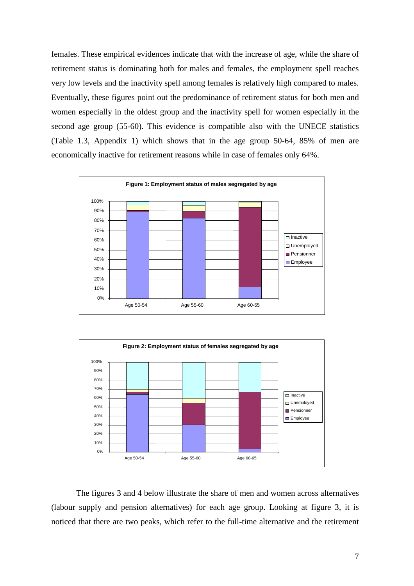females. These empirical evidences indicate that with the increase of age, while the share of retirement status is dominating both for males and females, the employment spell reaches very low levels and the inactivity spell among females is relatively high compared to males. Eventually, these figures point out the predominance of retirement status for both men and women especially in the oldest group and the inactivity spell for women especially in the second age group (55-60). This evidence is compatible also with the UNECE statistics (Table 1.3, Appendix 1) which shows that in the age group 50-64, 85% of men are economically inactive for retirement reasons while in case of females only 64%.





The figures 3 and 4 below illustrate the share of men and women across alternatives (labour supply and pension alternatives) for each age group. Looking at figure 3, it is noticed that there are two peaks, which refer to the full-time alternative and the retirement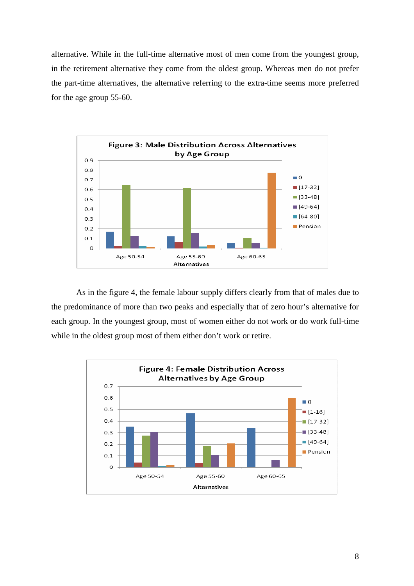alternative. While in the full-time alternative most of men come from the youngest group, in the retirement alternative they come from the oldest group. Whereas men do not prefer the part-time alternatives, the alternative referring to the extra-time seems more preferred for the age group 55-60.



As in the figure 4, the female labour supply differs clearly from that of males due to the predominance of more than two peaks and especially that of zero hour's alternative for each group. In the youngest group, most of women either do not work or do work full-time while in the oldest group most of them either don't work or retire.

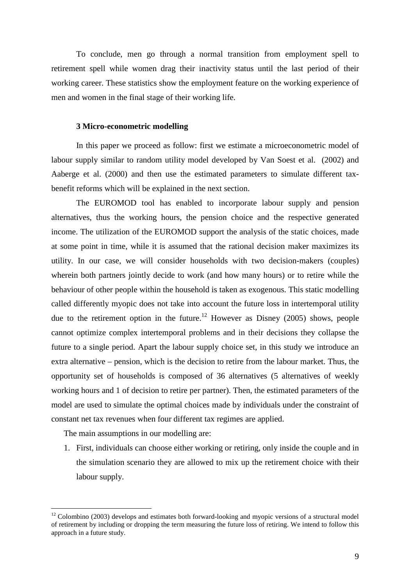To conclude, men go through a normal transition from employment spell to retirement spell while women drag their inactivity status until the last period of their working career. These statistics show the employment feature on the working experience of men and women in the final stage of their working life.

#### **3 Micro-econometric modelling**

In this paper we proceed as follow: first we estimate a microeconometric model of labour supply similar to random utility model developed by Van Soest et al. (2002) and Aaberge et al. (2000) and then use the estimated parameters to simulate different taxbenefit reforms which will be explained in the next section.

The EUROMOD tool has enabled to incorporate labour supply and pension alternatives, thus the working hours, the pension choice and the respective generated income. The utilization of the EUROMOD support the analysis of the static choices, made at some point in time, while it is assumed that the rational decision maker maximizes its utility. In our case, we will consider households with two decision-makers (couples) wherein both partners jointly decide to work (and how many hours) or to retire while the behaviour of other people within the household is taken as exogenous. This static modelling called differently myopic does not take into account the future loss in intertemporal utility due to the retirement option in the future.<sup>12</sup> However as Disney (2005) shows, people cannot optimize complex intertemporal problems and in their decisions they collapse the future to a single period. Apart the labour supply choice set, in this study we introduce an extra alternative – pension, which is the decision to retire from the labour market. Thus, the opportunity set of households is composed of 36 alternatives (5 alternatives of weekly working hours and 1 of decision to retire per partner). Then, the estimated parameters of the model are used to simulate the optimal choices made by individuals under the constraint of constant net tax revenues when four different tax regimes are applied.

The main assumptions in our modelling are:

 $\overline{a}$ 

1. First, individuals can choose either working or retiring, only inside the couple and in the simulation scenario they are allowed to mix up the retirement choice with their labour supply.

 $12$  Colombino (2003) develops and estimates both forward-looking and myopic versions of a structural model of retirement by including or dropping the term measuring the future loss of retiring. We intend to follow this approach in a future study.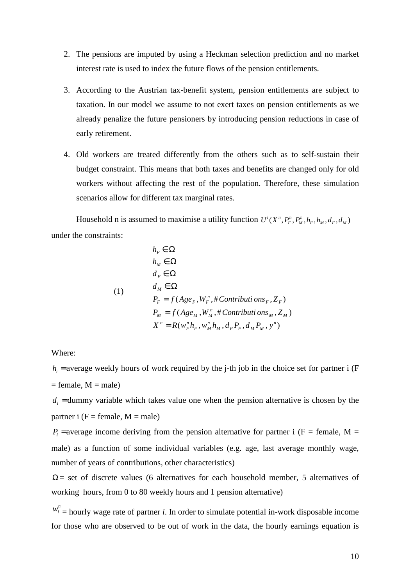- 2. The pensions are imputed by using a Heckman selection prediction and no market interest rate is used to index the future flows of the pension entitlements.
- 3. According to the Austrian tax-benefit system, pension entitlements are subject to taxation. In our model we assume to not exert taxes on pension entitlements as we already penalize the future pensioners by introducing pension reductions in case of early retirement.
- 4. Old workers are treated differently from the others such as to self-sustain their budget constraint. This means that both taxes and benefits are changed only for old workers without affecting the rest of the population. Therefore, these simulation scenarios allow for different tax marginal rates.

Household n is assumed to maximise a utility function  $U^{i}(X^{n}, P_{F}^{n}, P_{M}^{n}, h_{F}, h_{M}, d_{F}, d_{M})$ under the constraints:

$$
h_F \in \Omega
$$
  
\n
$$
h_M \in \Omega
$$
  
\n
$$
d_F \in \Omega
$$
  
\n(1)  
\n
$$
d_M \in \Omega
$$
  
\n
$$
P_F = f(Age_F, W_F^n, \# Continuity\cos_F, Z_F)
$$
  
\n
$$
P_M = f(Age_M, W_M^n, \# Continuity\cos_M, Z_M)
$$
  
\n
$$
X^n = R(w_F^n h_F, w_M^n h_M, d_F P_F, d_M P_M, y^n)
$$

Where:

 $h_i$  = average weekly hours of work required by the j-th job in the choice set for partner i (F  $=$  female,  $M =$  male)

 $d_i$  = dummy variable which takes value one when the pension alternative is chosen by the partner i  $(F = female, M = male)$ 

 $P_i$  = average income deriving from the pension alternative for partner i (F = female, M = male) as a function of some individual variables (e.g. age, last average monthly wage, number of years of contributions, other characteristics)

 $\Omega$  = set of discrete values (6 alternatives for each household member, 5 alternatives of working hours, from 0 to 80 weekly hours and 1 pension alternative)

 $w_i^n$  = hourly wage rate of partner *i*. In order to simulate potential in-work disposable income for those who are observed to be out of work in the data, the hourly earnings equation is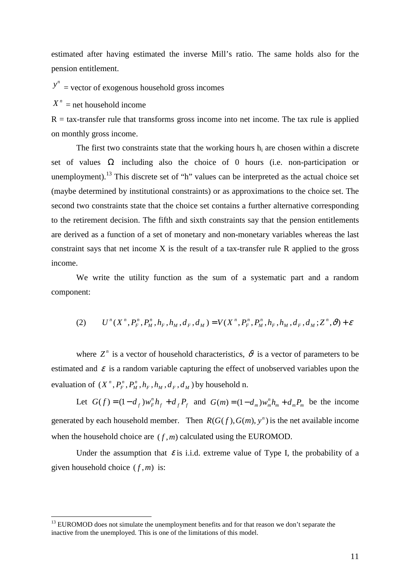estimated after having estimated the inverse Mill's ratio. The same holds also for the pension entitlement.

 $y''$  = vector of exogenous household gross incomes

 $X^n$  = net household income

 $\overline{a}$ 

 $R = \text{tax-transfer rule}$  that transforms gross income into net income. The tax rule is applied on monthly gross income.

The first two constraints state that the working hours  $h_i$  are chosen within a discrete set of values  $\Omega$  including also the choice of 0 hours (i.e. non-participation or unemployment).<sup>13</sup> This discrete set of "h" values can be interpreted as the actual choice set (maybe determined by institutional constraints) or as approximations to the choice set. The second two constraints state that the choice set contains a further alternative corresponding to the retirement decision. The fifth and sixth constraints say that the pension entitlements are derived as a function of a set of monetary and non-monetary variables whereas the last constraint says that net income  $X$  is the result of a tax-transfer rule  $R$  applied to the gross income.

We write the utility function as the sum of a systematic part and a random component:

$$
(2) \qquad U^{n}(X^{n}, P_{F}^{n}, P_{M}^{n}, h_{F}, h_{M}, d_{F}, d_{M})=V(X^{n}, P_{F}^{n}, P_{M}^{n}, h_{F}, h_{M}, d_{F}, d_{M}; Z^{n}, \vartheta)+\varepsilon
$$

where  $Z<sup>n</sup>$  is a vector of household characteristics,  $\vartheta$  is a vector of parameters to be estimated and  $\varepsilon$  is a random variable capturing the effect of unobserved variables upon the evaluation of  $(X^n, P_F^n, P_M^n, h_F, h_M, d_F, d_M)$ *M n*  $X^n$ ,  $P_F^n$ ,  $P_M^n$ ,  $h_F$ ,  $h_M$ ,  $d_F$ ,  $d_M$ ) by household n.

Let  $G(f) = (1 - d_f)w_F^n h_f + d_f P_f$  and  $G(m) = (1 - d_m)w_m^n h_m + d_m P_m$  be the income generated by each household member. Then  $R(G(f), G(m), y^n)$  is the net available income when the household choice are  $(f, m)$  calculated using the EUROMOD.

Under the assumption that  $\varepsilon$  is i.i.d. extreme value of Type I, the probability of a given household choice  $(f, m)$  is:

<sup>&</sup>lt;sup>13</sup> EUROMOD does not simulate the unemployment benefits and for that reason we don't separate the inactive from the unemployed. This is one of the limitations of this model.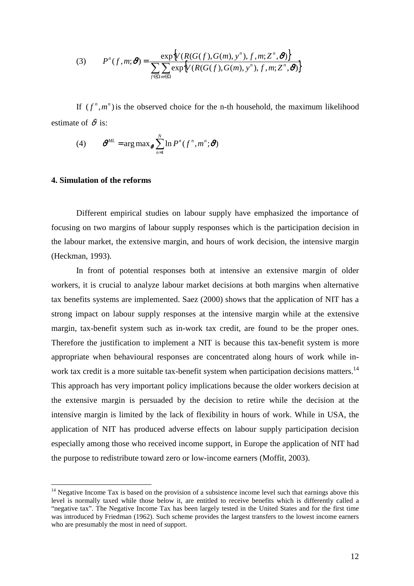(3) 
$$
P^{n}(f,m; \boldsymbol{\vartheta}) = \frac{\exp\{V(R(G(f),G(m), y^{n}), f, m; Z^{n}, \boldsymbol{\vartheta})\}}{\sum_{f \in \Omega m \in \Omega} \exp\{V(R(G(f),G(m), y^{n}), f, m; Z^{n}, \boldsymbol{\vartheta})\}}
$$

If  $(f^n, m^n)$  is the observed choice for the n-th household, the maximum likelihood estimate of  $\vartheta$  is:

(4) 
$$
\boldsymbol{\vartheta}^{ML} = \arg \max_{\boldsymbol{\vartheta}} \sum_{n=1}^{N} \ln P^{n}(f^{n}, m^{n}; \boldsymbol{\vartheta})
$$

#### **4. Simulation of the reforms**

 $\overline{a}$ 

 Different empirical studies on labour supply have emphasized the importance of focusing on two margins of labour supply responses which is the participation decision in the labour market, the extensive margin, and hours of work decision, the intensive margin (Heckman, 1993).

 In front of potential responses both at intensive an extensive margin of older workers, it is crucial to analyze labour market decisions at both margins when alternative tax benefits systems are implemented. Saez (2000) shows that the application of NIT has a strong impact on labour supply responses at the intensive margin while at the extensive margin, tax-benefit system such as in-work tax credit, are found to be the proper ones. Therefore the justification to implement a NIT is because this tax-benefit system is more appropriate when behavioural responses are concentrated along hours of work while inwork tax credit is a more suitable tax-benefit system when participation decisions matters.<sup>14</sup> This approach has very important policy implications because the older workers decision at the extensive margin is persuaded by the decision to retire while the decision at the intensive margin is limited by the lack of flexibility in hours of work. While in USA, the application of NIT has produced adverse effects on labour supply participation decision especially among those who received income support, in Europe the application of NIT had the purpose to redistribute toward zero or low-income earners (Moffit, 2003).

<sup>&</sup>lt;sup>14</sup> Negative Income Tax is based on the provision of a subsistence income level such that earnings above this level is normally taxed while those below it, are entitled to receive benefits which is differently called a "negative tax". The Negative Income Tax has been largely tested in the United States and for the first time was introduced by Friedman (1962). Such scheme provides the largest transfers to the lowest income earners who are presumably the most in need of support.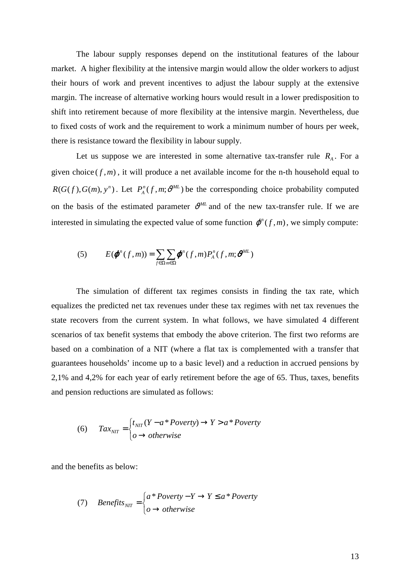The labour supply responses depend on the institutional features of the labour market. A higher flexibility at the intensive margin would allow the older workers to adjust their hours of work and prevent incentives to adjust the labour supply at the extensive margin. The increase of alternative working hours would result in a lower predisposition to shift into retirement because of more flexibility at the intensive margin. Nevertheless, due to fixed costs of work and the requirement to work a minimum number of hours per week, there is resistance toward the flexibility in labour supply.

Let us suppose we are interested in some alternative tax-transfer rule  $R_A$ . For a given choice  $(f, m)$ , it will produce a net available income for the n-th household equal to  $R(G(f), G(m), y^n)$ . Let  $P_A^n(f, m; \theta^{ML})$  be the corresponding choice probability computed on the basis of the estimated parameter  $v^{ML}$  and of the new tax-transfer rule. If we are interested in simulating the expected value of some function  $\varphi^n(f, m)$ , we simply compute:

(5) 
$$
E(\boldsymbol{\varphi}^n(f,m)) = \sum_{f \in \Omega} \sum_{m \in \Omega} \boldsymbol{\varphi}^n(f,m) P_A^n(f,m; \boldsymbol{\vartheta}^{ML})
$$

The simulation of different tax regimes consists in finding the tax rate, which equalizes the predicted net tax revenues under these tax regimes with net tax revenues the state recovers from the current system. In what follows, we have simulated 4 different scenarios of tax benefit systems that embody the above criterion. The first two reforms are based on a combination of a NIT (where a flat tax is complemented with a transfer that guarantees households' income up to a basic level) and a reduction in accrued pensions by 2,1% and 4,2% for each year of early retirement before the age of 65. Thus, taxes, benefits and pension reductions are simulated as follows:

(6) 
$$
Tax_{NIT} = \begin{cases} t_{NIT}(Y - a * Poverty) \rightarrow Y > a * Poverty \\ o \rightarrow otherwise \end{cases}
$$

and the benefits as below:

(7) *Benefits*<sub>NIT</sub> = 
$$
\begin{cases} a * \text{Poverty} - Y \rightarrow Y \leq a * \text{Poverty} \\ o \rightarrow \text{otherwise} \end{cases}
$$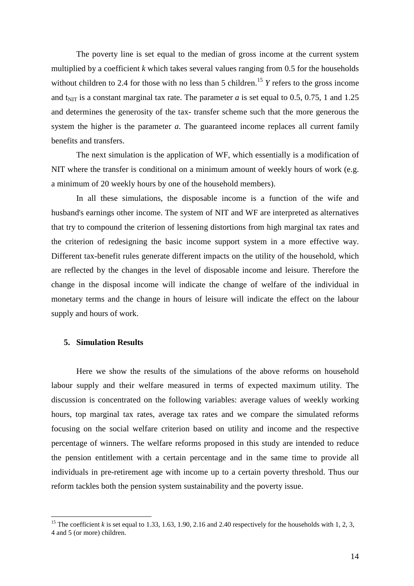The poverty line is set equal to the median of gross income at the current system multiplied by a coefficient *k* which takes several values ranging from 0.5 for the households without children to 2.4 for those with no less than 5 children.<sup>15</sup> *Y* refers to the gross income and t<sub>NIT</sub> is a constant marginal tax rate. The parameter *a* is set equal to 0.5, 0.75, 1 and 1.25 and determines the generosity of the tax- transfer scheme such that the more generous the system the higher is the parameter *a*. The guaranteed income replaces all current family benefits and transfers.

The next simulation is the application of WF, which essentially is a modification of NIT where the transfer is conditional on a minimum amount of weekly hours of work (e.g. a minimum of 20 weekly hours by one of the household members).

In all these simulations, the disposable income is a function of the wife and husband's earnings other income. The system of NIT and WF are interpreted as alternatives that try to compound the criterion of lessening distortions from high marginal tax rates and the criterion of redesigning the basic income support system in a more effective way. Different tax-benefit rules generate different impacts on the utility of the household, which are reflected by the changes in the level of disposable income and leisure. Therefore the change in the disposal income will indicate the change of welfare of the individual in monetary terms and the change in hours of leisure will indicate the effect on the labour supply and hours of work.

#### **5. Simulation Results**

 $\overline{a}$ 

 Here we show the results of the simulations of the above reforms on household labour supply and their welfare measured in terms of expected maximum utility. The discussion is concentrated on the following variables: average values of weekly working hours, top marginal tax rates, average tax rates and we compare the simulated reforms focusing on the social welfare criterion based on utility and income and the respective percentage of winners. The welfare reforms proposed in this study are intended to reduce the pension entitlement with a certain percentage and in the same time to provide all individuals in pre-retirement age with income up to a certain poverty threshold. Thus our reform tackles both the pension system sustainability and the poverty issue.

<sup>&</sup>lt;sup>15</sup> The coefficient *k* is set equal to 1.33, 1.63, 1.90, 2.16 and 2.40 respectively for the households with 1, 2, 3, 4 and 5 (or more) children.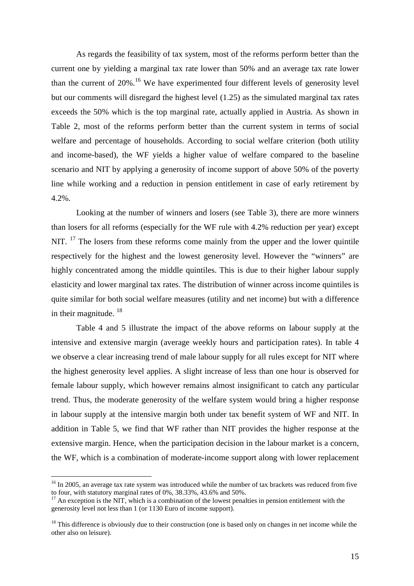As regards the feasibility of tax system, most of the reforms perform better than the current one by yielding a marginal tax rate lower than 50% and an average tax rate lower than the current of  $20\%$ .<sup>16</sup> We have experimented four different levels of generosity level but our comments will disregard the highest level (1.25) as the simulated marginal tax rates exceeds the 50% which is the top marginal rate, actually applied in Austria. As shown in Table 2, most of the reforms perform better than the current system in terms of social welfare and percentage of households. According to social welfare criterion (both utility and income-based), the WF yields a higher value of welfare compared to the baseline scenario and NIT by applying a generosity of income support of above 50% of the poverty line while working and a reduction in pension entitlement in case of early retirement by 4.2%.

 Looking at the number of winners and losers (see Table 3), there are more winners than losers for all reforms (especially for the WF rule with 4.2% reduction per year) except NIT. <sup>17</sup> The losers from these reforms come mainly from the upper and the lower quintile respectively for the highest and the lowest generosity level. However the "winners" are highly concentrated among the middle quintiles. This is due to their higher labour supply elasticity and lower marginal tax rates. The distribution of winner across income quintiles is quite similar for both social welfare measures (utility and net income) but with a difference in their magnitude.  $18$ 

Table 4 and 5 illustrate the impact of the above reforms on labour supply at the intensive and extensive margin (average weekly hours and participation rates). In table 4 we observe a clear increasing trend of male labour supply for all rules except for NIT where the highest generosity level applies. A slight increase of less than one hour is observed for female labour supply, which however remains almost insignificant to catch any particular trend. Thus, the moderate generosity of the welfare system would bring a higher response in labour supply at the intensive margin both under tax benefit system of WF and NIT. In addition in Table 5, we find that WF rather than NIT provides the higher response at the extensive margin. Hence, when the participation decision in the labour market is a concern, the WF, which is a combination of moderate-income support along with lower replacement

 $\overline{a}$ 

<sup>&</sup>lt;sup>16</sup> In 2005, an average tax rate system was introduced while the number of tax brackets was reduced from five to four, with statutory marginal rates of 0%, 38.33%, 43.6% and 50%.

 $17$  An exception is the NIT, which is a combination of the lowest penalties in pension entitlement with the generosity level not less than 1 (or 1130 Euro of income support).

<sup>&</sup>lt;sup>18</sup> This difference is obviously due to their construction (one is based only on changes in net income while the other also on leisure).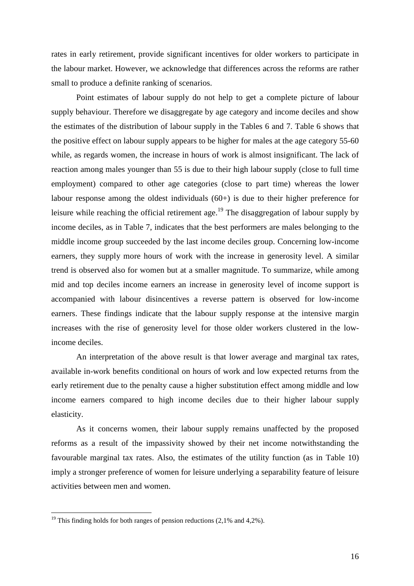rates in early retirement, provide significant incentives for older workers to participate in the labour market. However, we acknowledge that differences across the reforms are rather small to produce a definite ranking of scenarios.

 Point estimates of labour supply do not help to get a complete picture of labour supply behaviour. Therefore we disaggregate by age category and income deciles and show the estimates of the distribution of labour supply in the Tables 6 and 7. Table 6 shows that the positive effect on labour supply appears to be higher for males at the age category 55-60 while, as regards women, the increase in hours of work is almost insignificant. The lack of reaction among males younger than 55 is due to their high labour supply (close to full time employment) compared to other age categories (close to part time) whereas the lower labour response among the oldest individuals (60+) is due to their higher preference for leisure while reaching the official retirement age.<sup>19</sup> The disaggregation of labour supply by income deciles, as in Table 7, indicates that the best performers are males belonging to the middle income group succeeded by the last income deciles group. Concerning low-income earners, they supply more hours of work with the increase in generosity level. A similar trend is observed also for women but at a smaller magnitude. To summarize, while among mid and top deciles income earners an increase in generosity level of income support is accompanied with labour disincentives a reverse pattern is observed for low-income earners. These findings indicate that the labour supply response at the intensive margin increases with the rise of generosity level for those older workers clustered in the lowincome deciles.

 An interpretation of the above result is that lower average and marginal tax rates, available in-work benefits conditional on hours of work and low expected returns from the early retirement due to the penalty cause a higher substitution effect among middle and low income earners compared to high income deciles due to their higher labour supply elasticity.

 As it concerns women, their labour supply remains unaffected by the proposed reforms as a result of the impassivity showed by their net income notwithstanding the favourable marginal tax rates. Also, the estimates of the utility function (as in Table 10) imply a stronger preference of women for leisure underlying a separability feature of leisure activities between men and women.

 $\overline{a}$ 

<sup>&</sup>lt;sup>19</sup> This finding holds for both ranges of pension reductions  $(2,1%$  and  $4,2%$ ).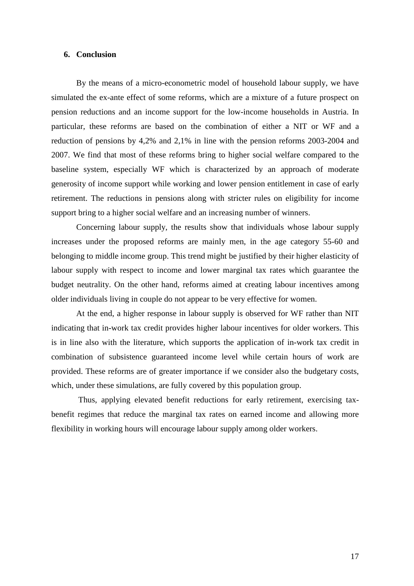#### **6. Conclusion**

 By the means of a micro-econometric model of household labour supply, we have simulated the ex-ante effect of some reforms, which are a mixture of a future prospect on pension reductions and an income support for the low-income households in Austria. In particular, these reforms are based on the combination of either a NIT or WF and a reduction of pensions by 4,2% and 2,1% in line with the pension reforms 2003-2004 and 2007. We find that most of these reforms bring to higher social welfare compared to the baseline system, especially WF which is characterized by an approach of moderate generosity of income support while working and lower pension entitlement in case of early retirement. The reductions in pensions along with stricter rules on eligibility for income support bring to a higher social welfare and an increasing number of winners.

 Concerning labour supply, the results show that individuals whose labour supply increases under the proposed reforms are mainly men, in the age category 55-60 and belonging to middle income group. This trend might be justified by their higher elasticity of labour supply with respect to income and lower marginal tax rates which guarantee the budget neutrality. On the other hand, reforms aimed at creating labour incentives among older individuals living in couple do not appear to be very effective for women.

At the end, a higher response in labour supply is observed for WF rather than NIT indicating that in-work tax credit provides higher labour incentives for older workers. This is in line also with the literature, which supports the application of in-work tax credit in combination of subsistence guaranteed income level while certain hours of work are provided. These reforms are of greater importance if we consider also the budgetary costs, which, under these simulations, are fully covered by this population group.

 Thus, applying elevated benefit reductions for early retirement, exercising taxbenefit regimes that reduce the marginal tax rates on earned income and allowing more flexibility in working hours will encourage labour supply among older workers.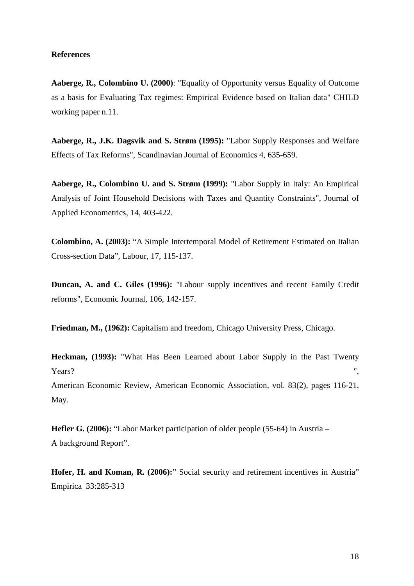#### **References**

**Aaberge, R., Colombino U. (2000)**: "Equality of Opportunity versus Equality of Outcome as a basis for Evaluating Tax regimes: Empirical Evidence based on Italian data" CHILD working paper n.11.

**Aaberge, R., J.K. Dagsvik and S. Strøm (1995):** "Labor Supply Responses and Welfare Effects of Tax Reforms", Scandinavian Journal of Economics 4, 635-659.

**Aaberge, R., Colombino U. and S. Strøm (1999):** "Labor Supply in Italy: An Empirical Analysis of Joint Household Decisions with Taxes and Quantity Constraints", Journal of Applied Econometrics, 14, 403-422.

**Colombino, A. (2003):** "A Simple Intertemporal Model of Retirement Estimated on Italian Cross-section Data", Labour, 17, 115-137.

**Duncan, A. and C. Giles (1996):** "Labour supply incentives and recent Family Credit reforms", Economic Journal, 106, 142-157.

**Friedman, M., (1962):** Capitalism and freedom, Chicago University Press, Chicago.

**Heckman, (1993):** "What Has Been Learned about Labor Supply in the Past Twenty Years?  $\blacksquare$ , American Economic Review, American Economic Association, vol. 83(2), pages 116-21, May.

**Hefler G. (2006):** "Labor Market participation of older people (55-64) in Austria – A background Report".

**Hofer, H. and Koman, R. (2006):**" Social security and retirement incentives in Austria" Empirica 33:285-313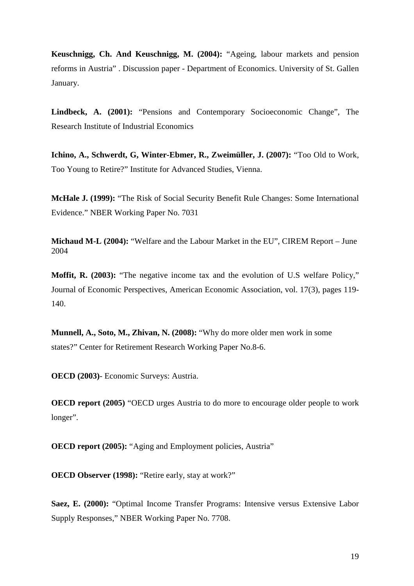**Keuschnigg, Ch. And Keuschnigg, M. (2004):** "Ageing, labour markets and pension reforms in Austria" . Discussion paper - Department of Economics. University of St. Gallen January.

**Lindbeck, A. (2001):** "Pensions and Contemporary Socioeconomic Change", The Research Institute of Industrial Economics

**Ichino, A., Schwerdt, G, Winter-Ebmer, R., Zweimüller, J. (2007):** "Too Old to Work, Too Young to Retire?" Institute for Advanced Studies, Vienna.

**McHale J. (1999):** "The Risk of Social Security Benefit Rule Changes: Some International Evidence." NBER Working Paper No. 7031

**Michaud M-L (2004):** "Welfare and the Labour Market in the EU", CIREM Report – June 2004

**Moffit, R. (2003):** "The negative income tax and the evolution of U.S welfare Policy," Journal of Economic Perspectives, American Economic Association, vol. 17(3), pages 119- 140.

**Munnell, A., Soto, M., Zhivan, N. (2008):** "Why do more older men work in some states?" Center for Retirement Research Working Paper No.8-6.

**OECD (2003)**- Economic Surveys: Austria.

**OECD report (2005)** "OECD urges Austria to do more to encourage older people to work longer".

**OECD report (2005):** "Aging and Employment policies, Austria"

**OECD Observer (1998):** "Retire early, stay at work?"

**Saez, E. (2000):** "Optimal Income Transfer Programs: Intensive versus Extensive Labor Supply Responses," NBER Working Paper No. 7708.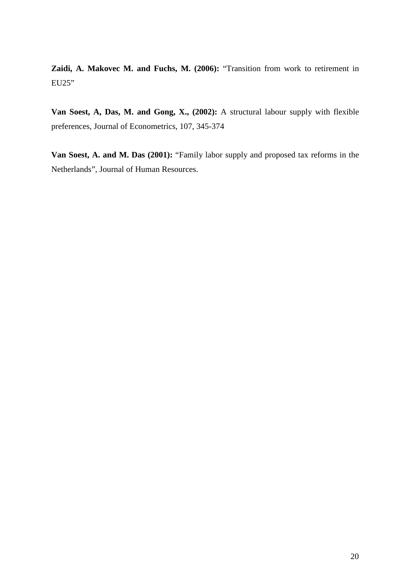**Zaidi, A. Makovec M. and Fuchs, M. (2006):** "Transition from work to retirement in EU25"

**Van Soest, A, Das, M. and Gong, X., (2002):** A structural labour supply with flexible preferences, Journal of Econometrics, 107, 345-374

**Van Soest, A. and M. Das (2001):** "Family labor supply and proposed tax reforms in the Netherlands", Journal of Human Resources.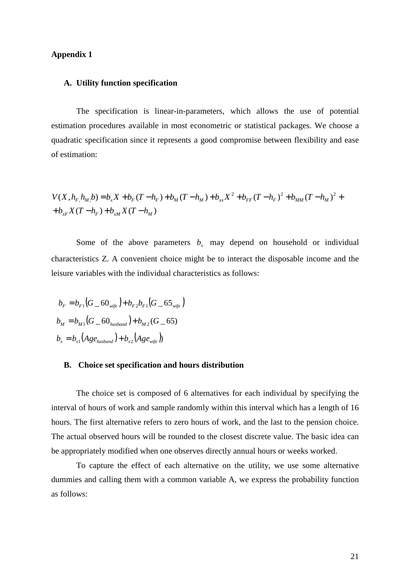#### **Appendix 1**

#### **A. Utility function specification**

 The specification is linear-in-parameters, which allows the use of potential estimation procedures available in most econometric or statistical packages. We choose a quadratic specification since it represents a good compromise between flexibility and ease of estimation:

$$
V(X, hF, hM, b) = bx X + bF (T - hF) + bM (T - hM) + bxx X2 + bFF (T - hF)2 + bMM (T - hM)2 ++ bxF X (T - hF) + bxM X (T - hM)
$$

Some of the above parameters  $b<sub>s</sub>$  may depend on household or individual characteristics Z. A convenient choice might be to interact the disposable income and the leisure variables with the individual characteristics as follows:

$$
b_F = b_{F1}(G_60_{\text{wife}}) + b_{F2}b_{F1}(G_65_{\text{wife}})
$$
  

$$
b_M = b_{M1}(G_60_{\text{husband}}) + b_{M2}(G_65)
$$
  

$$
b_x = b_{x1}(Age_{\text{husband}}) + b_{x2}(Age_{\text{wife}})
$$

#### **B. Choice set specification and hours distribution**

The choice set is composed of 6 alternatives for each individual by specifying the interval of hours of work and sample randomly within this interval which has a length of 16 hours. The first alternative refers to zero hours of work, and the last to the pension choice. The actual observed hours will be rounded to the closest discrete value. The basic idea can be appropriately modified when one observes directly annual hours or weeks worked.

To capture the effect of each alternative on the utility, we use some alternative dummies and calling them with a common variable A, we express the probability function as follows: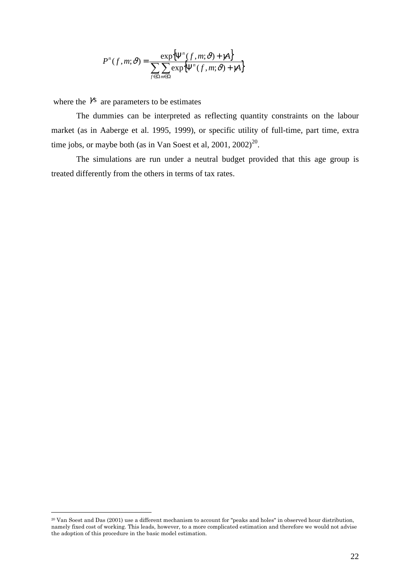$$
P^{n}(f,m;\vartheta) = \frac{\exp\{\Psi^{n}(f,m;\vartheta) + \gamma A\}}{\sum_{f \in \Omega m \in \Omega} \exp\{\Psi^{n}(f,m;\vartheta) + \gamma A\}}
$$

where the  $\gamma$ <sup>s</sup> are parameters to be estimates

 The dummies can be interpreted as reflecting quantity constraints on the labour market (as in Aaberge et al. 1995, 1999), or specific utility of full-time, part time, extra time jobs, or maybe both (as in Van Soest et al,  $2001$ ,  $2002$ )<sup>20</sup>.

The simulations are run under a neutral budget provided that this age group is treated differently from the others in terms of tax rates.

 $\overline{a}$ 

<sup>20</sup> Van Soest and Das (2001) use a different mechanism to account for "peaks and holes" in observed hour distribution, namely fixed cost of working. This leads, however, to a more complicated estimation and therefore we would not advise the adoption of this procedure in the basic model estimation.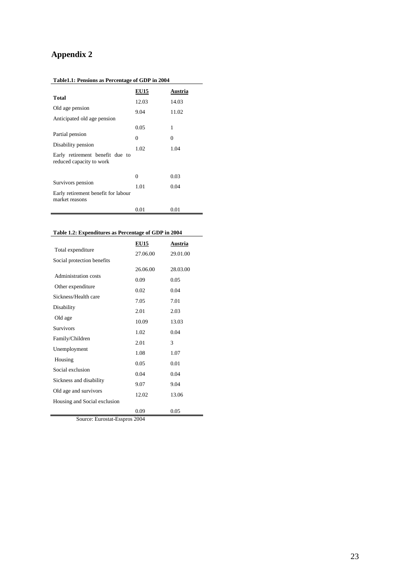## **Appendix 2**

| Table1.1: Pensions as Percentage of GDP in 2004 |
|-------------------------------------------------|
|                                                 |

|                                                             | <b>EU15</b> | Austria  |
|-------------------------------------------------------------|-------------|----------|
| Total                                                       | 12.03       | 14.03    |
| Old age pension                                             | 9.04        | 11.02    |
| Anticipated old age pension                                 |             |          |
|                                                             | 0.05        | 1        |
| Partial pension                                             | 0           | $\Omega$ |
| Disability pension                                          | 1.02        | 1.04     |
| Early retirement benefit due to<br>reduced capacity to work |             |          |
|                                                             | 0           | 0.03     |
| Survivors pension                                           | 1.01        | 0.04     |
| Early retirement benefit for labour<br>market reasons       |             |          |
|                                                             | 0.01        | 0.01     |

| Table 1.2: Expenditures as Percentage of GDP in 2004 |  |
|------------------------------------------------------|--|
|                                                      |  |

|                              | <u>EU15</u> | <b>Austria</b> |
|------------------------------|-------------|----------------|
| Total expenditure            | 27.06.00    | 29.01.00       |
| Social protection benefits   |             |                |
|                              | 26.06.00    | 28.03.00       |
| Administration costs         | 0.09        | 0.05           |
| Other expenditure            | 0.02        | 0.04           |
| Sickness/Health care         | 7.05        | 7.01           |
| Disability                   | 2.01        | 2.03           |
| Old age                      | 10.09       | 13.03          |
| <b>Survivors</b>             |             |                |
| Family/Children              | 1.02        | 0.04           |
|                              | 2.01        | 3              |
| Unemployment                 | 1.08        | 1.07           |
| Housing                      | 0.05        | 0.01           |
| Social exclusion             | 0.04        | 0.04           |
| Sickness and disability      |             |                |
| Old age and survivors        | 9.07        | 9.04           |
|                              | 12.02       | 13.06          |
| Housing and Social exclusion |             |                |
|                              | 0.09        | 0.05           |

Source: Eurostat-Esspros 2004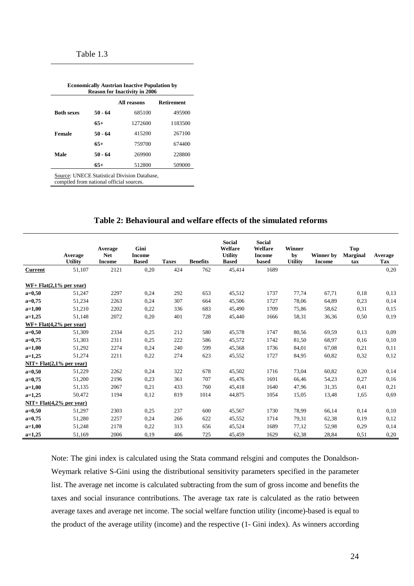| <b>Economically Austrian Inactive Population by</b><br><b>Reason for Inactivity in 2006</b> |                                  |         |         |  |  |
|---------------------------------------------------------------------------------------------|----------------------------------|---------|---------|--|--|
|                                                                                             | All reasons<br><b>Retirement</b> |         |         |  |  |
| <b>Both sexes</b>                                                                           | 50 - 64                          | 685100  | 495900  |  |  |
|                                                                                             | $65+$                            | 1272600 | 1183500 |  |  |
| Female                                                                                      | 50 - 64                          | 415200  | 267100  |  |  |
|                                                                                             | $65+$                            | 759700  | 674400  |  |  |
| Male                                                                                        | 50 - 64                          | 269900  | 228800  |  |  |
|                                                                                             | $65+$                            | 512800  | 509000  |  |  |

Source: UNECE Statistical Division Database,

compiled from national official sources.

#### **Table 2: Behavioural and welfare effects of the simulated reforms**

|                           | Average<br><b>Utility</b> | Average<br><b>Net</b><br><b>Income</b> | Gini<br><b>Income</b><br><b>Based</b> | <b>Taxes</b> | <b>Benefits</b> | <b>Social</b><br>Welfare<br><b>Utility</b><br><b>Based</b> | <b>Social</b><br>Welfare<br><b>Income</b><br>based | <b>Winner</b><br>by<br><b>Utility</b> | Winner by<br><b>Income</b> | Top<br><b>Marginal</b><br>tax | Average<br>Tax |
|---------------------------|---------------------------|----------------------------------------|---------------------------------------|--------------|-----------------|------------------------------------------------------------|----------------------------------------------------|---------------------------------------|----------------------------|-------------------------------|----------------|
| <b>Current</b>            | 51,107                    | 2121                                   | 0,20                                  | 424          | 762             | 45,414                                                     | 1689                                               |                                       |                            |                               | 0,20           |
| $WF+Flat(2,1\%$ per year) |                           |                                        |                                       |              |                 |                                                            |                                                    |                                       |                            |                               |                |
| $a=0,50$                  | 51,247                    | 2297                                   | 0,24                                  | 292          | 653             | 45,512                                                     | 1737                                               | 77,74                                 | 67,71                      | 0.18                          | 0.13           |
| $a=0,75$                  | 51,234                    | 2263                                   | 0,24                                  | 307          | 664             | 45,506                                                     | 1727                                               | 78,06                                 | 64,89                      | 0,23                          | 0,14           |
| $a=1,00$                  | 51,210                    | 2202                                   | 0,22                                  | 336          | 683             | 45,490                                                     | 1709                                               | 75,86                                 | 58,62                      | 0,31                          | 0,15           |
| $a=1,25$                  | 51,148                    | 2072                                   | 0.20                                  | 401          | 728             | 45,440                                                     | 1666                                               | 58,31                                 | 36,36                      | 0.50                          | 0,19           |
| $WF+Flat(4,2\%$ per year) |                           |                                        |                                       |              |                 |                                                            |                                                    |                                       |                            |                               |                |
| $a=0,50$                  | 51,309                    | 2334                                   | 0,25                                  | 212          | 580             | 45,578                                                     | 1747                                               | 80,56                                 | 69,59                      | 0.13                          | 0.09           |
| $a=0,75$                  | 51,303                    | 2311                                   | 0,25                                  | 222          | 586             | 45,572                                                     | 1742                                               | 81,50                                 | 68,97                      | 0.16                          | 0,10           |
| $a=1,00$                  | 51,292                    | 2274                                   | 0,24                                  | 240          | 599             | 45,568                                                     | 1736                                               | 84,01                                 | 67,08                      | 0,21                          | 0,11           |
| $a=1,25$                  | 51,274                    | 2211                                   | 0,22                                  | 274          | 623             | 45,552                                                     | 1727                                               | 84,95                                 | 60,82                      | 0.32                          | 0,12           |
| $NIT+Flat(2,1%$ per year) |                           |                                        |                                       |              |                 |                                                            |                                                    |                                       |                            |                               |                |
| $a=0,50$                  | 51,229                    | 2262                                   | 0,24                                  | 322          | 678             | 45,502                                                     | 1716                                               | 73,04                                 | 60,82                      | 0.20                          | 0,14           |
| $a=0,75$                  | 51,200                    | 2196                                   | 0.23                                  | 361          | 707             | 45,476                                                     | 1691                                               | 66,46                                 | 54,23                      | 0,27                          | 0,16           |
| $a=1,00$                  | 51,135                    | 2067                                   | 0,21                                  | 433          | 760             | 45,418                                                     | 1640                                               | 47,96                                 | 31,35                      | 0,41                          | 0,21           |
| $a=1,25$                  | 50,472                    | 1194                                   | 0.12                                  | 819          | 1014            | 44,875                                                     | 1054                                               | 15,05                                 | 13,48                      | 1,65                          | 0,69           |
| $NIT+Flat(4,2%$ per year) |                           |                                        |                                       |              |                 |                                                            |                                                    |                                       |                            |                               |                |
| $a=0,50$                  | 51,297                    | 2303                                   | 0,25                                  | 237          | 600             | 45,567                                                     | 1730                                               | 78,99                                 | 66,14                      | 0,14                          | 0,10           |
| $a=0,75$                  | 51,280                    | 2257                                   | 0.24                                  | 266          | 622             | 45,552                                                     | 1714                                               | 79,31                                 | 62,38                      | 0.19                          | 0,12           |
| $a=1,00$                  | 51,248                    | 2178                                   | 0,22                                  | 313          | 656             | 45,524                                                     | 1689                                               | 77,12                                 | 52,98                      | 0,29                          | 0,14           |
| $a=1,25$                  | 51,169                    | 2006                                   | 0.19                                  | 406          | 725             | 45,459                                                     | 1629                                               | 62,38                                 | 28,84                      | 0,51                          | 0,20           |

Note: The gini index is calculated using the Stata command relsgini and computes the Donaldson-Weymark relative S-Gini using the distributional sensitivity parameters specified in the parameter list. The average net income is calculated subtracting from the sum of gross income and benefits the taxes and social insurance contributions. The average tax rate is calculated as the ratio between average taxes and average net income. The social welfare function utility (income)-based is equal to the product of the average utility (income) and the respective (1- Gini index). As winners according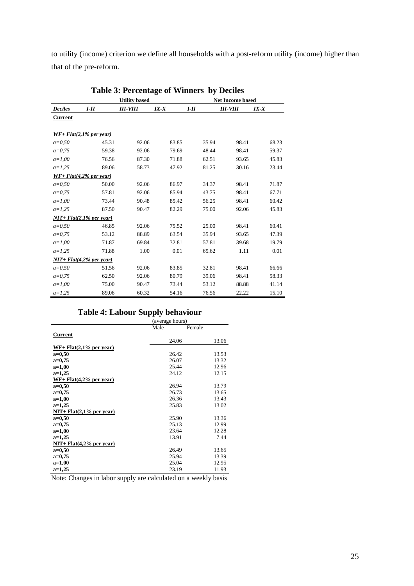to utility (income) criterion we define all households with a post-reform utility (income) higher than that of the pre-reform.

|                | Table 5. I creditage of Williers by Declies |                      |          |        |                         |          |  |  |  |  |
|----------------|---------------------------------------------|----------------------|----------|--------|-------------------------|----------|--|--|--|--|
|                |                                             | <b>Utility based</b> |          |        | <b>Net Income based</b> |          |  |  |  |  |
| <b>Deciles</b> | $I-II$                                      | <b>III-VIII</b>      | $IX - X$ | $I-II$ | <b>III-VIII</b>         | $IX - X$ |  |  |  |  |
| <b>Current</b> |                                             |                      |          |        |                         |          |  |  |  |  |
|                |                                             |                      |          |        |                         |          |  |  |  |  |
|                | $WF+Flat(2,1\%$ per year)                   |                      |          |        |                         |          |  |  |  |  |
| $a = 0.50$     | 45.31                                       | 92.06                | 83.85    | 35.94  | 98.41                   | 68.23    |  |  |  |  |
| $a=0.75$       | 59.38                                       | 92.06                | 79.69    | 48.44  | 98.41                   | 59.37    |  |  |  |  |
| $a=1,00$       | 76.56                                       | 87.30                | 71.88    | 62.51  | 93.65                   | 45.83    |  |  |  |  |
| $a=1,25$       | 89.06                                       | 58.73                | 47.92    | 81.25  | 30.16                   | 23.44    |  |  |  |  |
|                | $WF+Flat(4,2%$ per year)                    |                      |          |        |                         |          |  |  |  |  |
| $a = 0.50$     | 50.00                                       | 92.06                | 86.97    | 34.37  | 98.41                   | 71.87    |  |  |  |  |
| $a=0.75$       | 57.81                                       | 92.06                | 85.94    | 43.75  | 98.41                   | 67.71    |  |  |  |  |
| $a=1,00$       | 73.44                                       | 90.48                | 85.42    | 56.25  | 98.41                   | 60.42    |  |  |  |  |
| $a=1,25$       | 87.50                                       | 90.47                | 82.29    | 75.00  | 92.06                   | 45.83    |  |  |  |  |
|                | $NIT+Flat(2,1%$ per year)                   |                      |          |        |                         |          |  |  |  |  |
| $a = 0.50$     | 46.85                                       | 92.06                | 75.52    | 25.00  | 98.41                   | 60.41    |  |  |  |  |
| $a=0.75$       | 53.12                                       | 88.89                | 63.54    | 35.94  | 93.65                   | 47.39    |  |  |  |  |
| $a=1,00$       | 71.87                                       | 69.84                | 32.81    | 57.81  | 39.68                   | 19.79    |  |  |  |  |
| $a=1,25$       | 71.88                                       | 1.00                 | 0.01     | 65.62  | 1.11                    | 0.01     |  |  |  |  |
|                | $NIT+Flat(4,2%$ per year)                   |                      |          |        |                         |          |  |  |  |  |
| $a=0,50$       | 51.56                                       | 92.06                | 83.85    | 32.81  | 98.41                   | 66.66    |  |  |  |  |
| $a=0.75$       | 62.50                                       | 92.06                | 80.79    | 39.06  | 98.41                   | 58.33    |  |  |  |  |
| $a=1,00$       | 75.00                                       | 90.47                | 73.44    | 53.12  | 88.88                   | 41.14    |  |  |  |  |
| $a=1,25$       | 89.06                                       | 60.32                | 54.16    | 76.56  | 22.22                   | 15.10    |  |  |  |  |

## **Table 3: Percentage of Winners by Deciles**

### **Table 4: Labour Supply behaviour**

|                               | (average hours) |        |       |
|-------------------------------|-----------------|--------|-------|
|                               | Male            | Female |       |
| <b>Current</b>                |                 |        |       |
|                               | 24.06           |        | 13.06 |
| $WF+Flat(2,1\%$ per year)     |                 |        |       |
| $a=0,50$                      | 26.42           |        | 13.53 |
| $a=0,75$                      | 26.07           |        | 13.32 |
| $a=1,00$                      | 25.44           |        | 12.96 |
| $a=1,25$                      | 24.12           |        | 12.15 |
| $WF+Flat(4,2%$ per year)      |                 |        |       |
| $a=0,50$                      | 26.94           |        | 13.79 |
| $a=0.75$                      | 26.73           |        | 13.65 |
| $a=1,00$                      | 26.36           |        | 13.43 |
| $a=1,25$                      | 25.83           |        | 13.02 |
| $NIT+Flat(2,1%$ per year)     |                 |        |       |
| $a=0,50$                      | 25.90           |        | 13.36 |
| $a=0.75$                      | 25.13           |        | 12.99 |
| $a=1,00$                      | 23.64           |        | 12.28 |
| $a=1,25$                      | 13.91           |        | 7.44  |
| $NIT + Flat(4, 2\%$ per year) |                 |        |       |
| $a=0,50$                      | 26.49           |        | 13.65 |
| $a=0,75$                      | 25.94           |        | 13.39 |
| $a=1,00$                      | 25.04           |        | 12.95 |
| $a=1,25$                      | 23.19           |        | 11.93 |

Note: Changes in labor supply are calculated on a weekly basis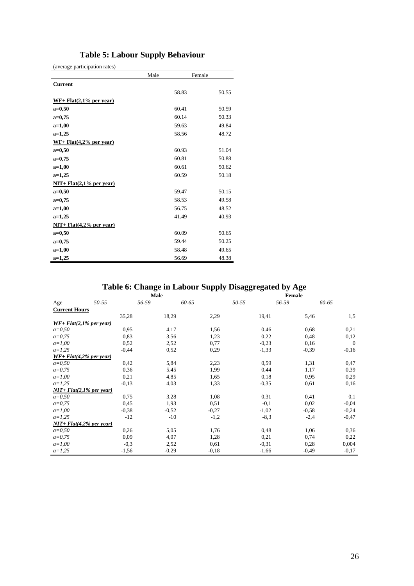## **Table 5: Labour Supply Behaviour**

(average participation rates)

|                           | Male | Female |       |
|---------------------------|------|--------|-------|
| <b>Current</b>            |      |        |       |
|                           |      | 58.83  | 50.55 |
| $WF+Flat(2,1%$ per year)  |      |        |       |
| $a=0,50$                  |      | 60.41  | 50.59 |
| $a=0,75$                  |      | 60.14  | 50.33 |
| $a=1,00$                  |      | 59.63  | 49.84 |
| $a=1,25$                  |      | 58.56  | 48.72 |
| $WF+Flat(4,2%$ per year)  |      |        |       |
| $a=0,50$                  |      | 60.93  | 51.04 |
| $a=0,75$                  |      | 60.81  | 50.88 |
| $a=1,00$                  |      | 60.61  | 50.62 |
| $a=1,25$                  |      | 60.59  | 50.18 |
| $NIT+Flat(2,1%$ per year) |      |        |       |
| $a=0,50$                  |      | 59.47  | 50.15 |
| $a=0,75$                  |      | 58.53  | 49.58 |
| $a=1,00$                  |      | 56.75  | 48.52 |
| $a=1,25$                  |      | 41.49  | 40.93 |
| $NIT+Flat(4,2%$ per year) |      |        |       |
| $a=0,50$                  |      | 60.09  | 50.65 |
| $a=0,75$                  |      | 59.44  | 50.25 |
| $a=1,00$                  |      | 58.48  | 49.65 |
| $a=1,25$                  |      | 56.69  | 48.38 |

## **Table 6: Change in Labour Supply Disaggregated by Age**

|                              |         | <b>Male</b> | <b>Female</b> |           |         |                |
|------------------------------|---------|-------------|---------------|-----------|---------|----------------|
| Age                          | 50-55   | 56-59       | 60-65         | $50 - 55$ | 56-59   | 60-65          |
| <b>Current Hours</b>         |         |             |               |           |         |                |
|                              | 35,28   | 18,29       | 2,29          | 19,41     | 5,46    | 1,5            |
| $WF + Flat(2, 1\%$ per year) |         |             |               |           |         |                |
| $a=0,50$                     | 0.95    | 4,17        | 1,56          | 0,46      | 0.68    | 0,21           |
| $a=0,75$                     | 0,83    | 3,56        | 1,23          | 0,22      | 0,48    | 0,12           |
| $a=1,00$                     | 0,52    | 2,52        | 0,77          | $-0,23$   | 0,16    | $\overline{0}$ |
| $a=1,25$                     | $-0,44$ | 0,52        | 0.29          | $-1,33$   | $-0.39$ | $-0.16$        |
| $WF + Flat(4, 2\%$ per year) |         |             |               |           |         |                |
| $a = 0.50$                   | 0.42    | 5,84        | 2,23          | 0,59      | 1,31    | 0,47           |
| $a=0,75$                     | 0,36    | 5,45        | 1,99          | 0,44      | 1,17    | 0,39           |
| $a=1,00$                     | 0,21    | 4,85        | 1,65          | 0,18      | 0,95    | 0,29           |
| $a=1,25$                     | $-0.13$ | 4,03        | 1,33          | $-0,35$   | 0.61    | 0,16           |
| $NIT+Flat(2,1%$ per year)    |         |             |               |           |         |                |
| $a=0,50$                     | 0.75    | 3,28        | 1,08          | 0,31      | 0,41    | 0,1            |
| $a=0,75$                     | 0,45    | 1,93        | 0,51          | $-0,1$    | 0,02    | $-0,04$        |
| $a=1,00$                     | $-0,38$ | $-0,52$     | $-0,27$       | $-1,02$   | $-0,58$ | $-0,24$        |
| $a=1,25$                     | $-12$   | $-10$       | $-1,2$        | $-8,3$    | $-2,4$  | $-0,47$        |
| $NIT+Flat(4,2%$ per year)    |         |             |               |           |         |                |
| $a=0,50$                     | 0,26    | 5,05        | 1,76          | 0,48      | 1,06    | 0,36           |
| $a=0,75$                     | 0.09    | 4,07        | 1,28          | 0,21      | 0,74    | 0,22           |
| $a=1,00$                     | $-0.3$  | 2,52        | 0,61          | $-0.31$   | 0,28    | 0.004          |
| $a=1,25$                     | $-1,56$ | $-0,29$     | $-0,18$       | $-1,66$   | $-0,49$ | $-0,17$        |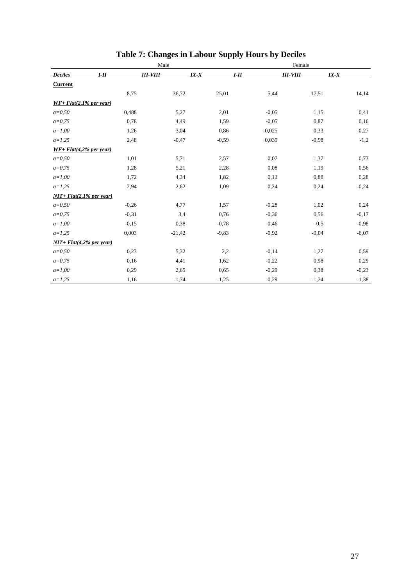|                           |         | Male       | Female   |          |            |          |  |
|---------------------------|---------|------------|----------|----------|------------|----------|--|
| <b>Deciles</b>            | $I-II$  | $III-VIII$ | $IX - X$ | $I-II$   | $III-VIII$ | $IX - X$ |  |
| <b>Current</b>            |         |            |          |          |            |          |  |
|                           | 8,75    | 36,72      | 25,01    | 5,44     | 17,51      | 14,14    |  |
| $WF+Flat(2,1\%$ per year) |         |            |          |          |            |          |  |
| $a = 0,50$                | 0,488   | 5,27       | 2,01     | $-0,05$  | 1,15       | 0,41     |  |
| $a=0,75$                  | 0.78    | 4,49       | 1,59     | $-0,05$  | 0,87       | 0,16     |  |
| $a=1,00$                  | 1,26    | 3,04       | 0,86     | $-0,025$ | 0,33       | $-0,27$  |  |
| $a=1,25$                  | 2,48    | $-0,47$    | $-0,59$  | 0,039    | $-0,98$    | $-1,2$   |  |
| $WF+Flat(4,2% per year)$  |         |            |          |          |            |          |  |
| $a = 0,50$                | 1,01    | 5,71       | 2,57     | 0,07     | 1,37       | 0,73     |  |
| $a=0,75$                  | 1,28    | 5,21       | 2,28     | 0,08     | 1,19       | 0,56     |  |
| $a=1,00$                  | 1,72    | 4,34       | 1,82     | 0,13     | 0,88       | 0,28     |  |
| $a=1,25$                  | 2,94    | 2,62       | 1,09     | 0,24     | 0,24       | $-0,24$  |  |
| $NIT+Flat(2,1% per year)$ |         |            |          |          |            |          |  |
| $a = 0,50$                | $-0,26$ | 4,77       | 1,57     | $-0,28$  | 1,02       | 0,24     |  |
| $a=0,75$                  | $-0,31$ | 3,4        | 0,76     | $-0,36$  | 0,56       | $-0,17$  |  |
| $a=1,00$                  | $-0,15$ | 0,38       | $-0,78$  | $-0,46$  | $-0.5$     | $-0,98$  |  |
| $a=1,25$                  | 0,003   | $-21,42$   | $-9,83$  | $-0,92$  | $-9,04$    | $-6,07$  |  |
| $NIT+Flat(4,2%$ per year) |         |            |          |          |            |          |  |
| $a = 0,50$                | 0,23    | 5,32       | 2,2      | $-0,14$  | 1,27       | 0,59     |  |
| $a=0,75$                  | 0,16    | 4,41       | 1,62     | $-0,22$  | 0,98       | 0,29     |  |
| $a=1,00$                  | 0,29    | 2,65       | 0.65     | $-0,29$  | 0,38       | $-0,23$  |  |
| $a=1,25$                  | 1,16    | $-1,74$    | $-1,25$  | $-0,29$  | $-1,24$    | $-1,38$  |  |

## **Table 7: Changes in Labour Supply Hours by Deciles**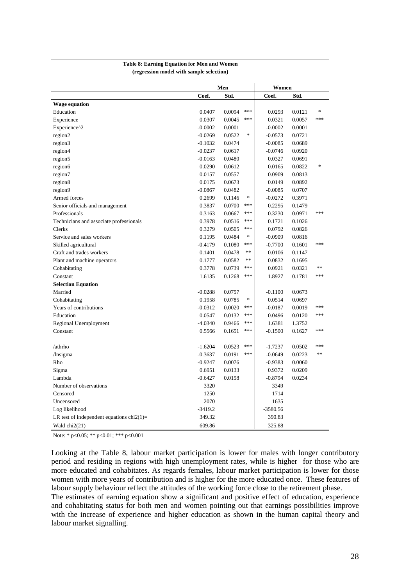#### **Table 8: Earning Equation for Men and Women (regression model with sample selection)**

|                                              | Men       |        |        | Women      |        |        |
|----------------------------------------------|-----------|--------|--------|------------|--------|--------|
|                                              | Coef.     | Std.   |        | Coef.      | Std.   |        |
| <b>Wage equation</b>                         |           |        |        |            |        |        |
| Education                                    | 0.0407    | 0.0094 | ***    | 0.0293     | 0.0121 | $\ast$ |
| Experience                                   | 0.0307    | 0.0045 | ***    | 0.0321     | 0.0057 | ***    |
| Experience^2                                 | $-0.0002$ | 0.0001 |        | $-0.0002$  | 0.0001 |        |
| region2                                      | $-0.0269$ | 0.0522 | $\ast$ | $-0.0573$  | 0.0721 |        |
| region3                                      | $-0.1032$ | 0.0474 |        | $-0.0085$  | 0.0689 |        |
| region4                                      | $-0.0237$ | 0.0617 |        | $-0.0746$  | 0.0920 |        |
| region5                                      | $-0.0163$ | 0.0480 |        | 0.0327     | 0.0691 |        |
| region6                                      | 0.0290    | 0.0612 |        | 0.0165     | 0.0822 | $\ast$ |
| region7                                      | 0.0157    | 0.0557 |        | 0.0909     | 0.0813 |        |
| region8                                      | 0.0175    | 0.0673 |        | 0.0149     | 0.0892 |        |
| region9                                      | $-0.0867$ | 0.0482 |        | $-0.0085$  | 0.0707 |        |
| Armed forces                                 | 0.2699    | 0.1146 | $\ast$ | $-0.0272$  | 0.3971 |        |
| Senior officials and management              | 0.3837    | 0.0700 | $***$  | 0.2295     | 0.1479 |        |
| Professionals                                | 0.3163    | 0.0667 | ***    | 0.3230     | 0.0971 | ***    |
| Technicians and associate professionals      | 0.3978    | 0.0516 | ***    | 0.1721     | 0.1026 |        |
| Clerks                                       | 0.3279    | 0.0505 | $***$  | 0.0792     | 0.0826 |        |
| Service and sales workers                    | 0.1195    | 0.0484 | $\ast$ | $-0.0909$  | 0.0816 |        |
| Skilled agricultural                         | $-0.4179$ | 0.1080 | ***    | $-0.7700$  | 0.1601 | ***    |
| Craft and trades workers                     | 0.1401    | 0.0478 | **     | 0.0106     | 0.1147 |        |
| Plant and machine operators                  | 0.1777    | 0.0582 | **     | 0.0832     | 0.1695 |        |
| Cohabitating                                 | 0.3778    | 0.0739 | ***    | 0.0921     | 0.0321 | $**$   |
| Constant                                     | 1.6135    | 0.1268 | ***    | 1.8927     | 0.1781 | ***    |
| <b>Selection Equation</b>                    |           |        |        |            |        |        |
| Married                                      | $-0.0288$ | 0.0757 |        | $-0.1100$  | 0.0673 |        |
| Cohabitating                                 | 0.1958    | 0.0785 | $\ast$ | 0.0514     | 0.0697 |        |
| Years of contributions                       | $-0.0312$ | 0.0020 | ***    | $-0.0187$  | 0.0019 | ***    |
| Education                                    | 0.0547    | 0.0132 | $***$  | 0.0496     | 0.0120 | ***    |
| Regional Unemployment                        | $-4.0340$ | 0.9466 | ***    | 1.6381     | 1.3752 |        |
| Constant                                     | 0.5566    | 0.1651 | ***    | $-0.1500$  | 0.1627 | ***    |
|                                              |           |        |        |            |        |        |
| /athrho                                      | $-1.6204$ | 0.0523 | ***    | -1.7237    | 0.0502 | ***    |
| /lnsigma                                     | $-0.3637$ | 0.0191 | ***    | $-0.0649$  | 0.0223 | $**$   |
| Rho                                          | $-0.9247$ | 0.0076 |        | $-0.9383$  | 0.0060 |        |
| Sigma                                        | 0.6951    | 0.0133 |        | 0.9372     | 0.0209 |        |
| Lambda                                       | $-0.6427$ | 0.0158 |        | $-0.8794$  | 0.0234 |        |
| Number of observations                       | 3320      |        |        | 3349       |        |        |
| Censored                                     | 1250      |        |        | 1714       |        |        |
| Uncensored                                   | 2070      |        |        | 1635       |        |        |
| Log likelihood                               | $-3419.2$ |        |        | $-3580.56$ |        |        |
| LR test of independent equations $chi2(1)$ = | 349.32    |        |        | 390.83     |        |        |
| Wald chi2(21)                                | 609.86    |        |        | 325.88     |        |        |

Note: \* p<0.05; \*\* p<0.01; \*\*\* p<0.001

Looking at the Table 8, labour market participation is lower for males with longer contributory period and residing in regions with high unemployment rates, while is higher for those who are more educated and cohabitates. As regards females, labour market participation is lower for those women with more years of contribution and is higher for the more educated once. These features of labour supply behaviour reflect the attitudes of the working force close to the retirement phase.

The estimates of earning equation show a significant and positive effect of education, experience and cohabitating status for both men and women pointing out that earnings possibilities improve with the increase of experience and higher education as shown in the human capital theory and labour market signalling.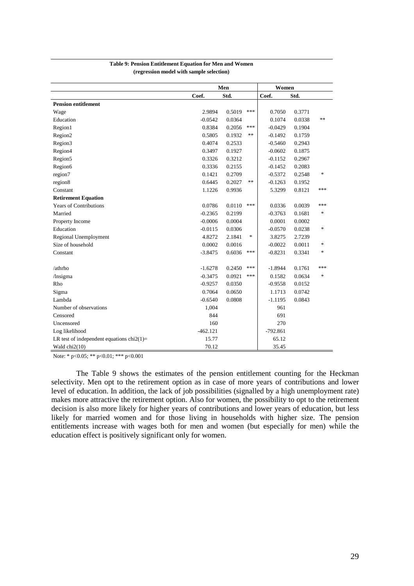|                                              | Men        |        |        | Women      |        |        |
|----------------------------------------------|------------|--------|--------|------------|--------|--------|
|                                              | Coef.      | Std.   |        | Coef.      | Std.   |        |
| <b>Pension entitlement</b>                   |            |        |        |            |        |        |
| Wage                                         | 2.9894     | 0.5019 | ***    | 0.7050     | 0.3771 |        |
| Education                                    | $-0.0542$  | 0.0364 |        | 0.1074     | 0.0338 | **     |
| Region1                                      | 0.8384     | 0.2056 | ***    | $-0.0429$  | 0.1904 |        |
| Region2                                      | 0.5805     | 0.1932 | **     | $-0.1492$  | 0.1759 |        |
| Region3                                      | 0.4074     | 0.2533 |        | $-0.5460$  | 0.2943 |        |
| Region4                                      | 0.3497     | 0.1927 |        | $-0.0602$  | 0.1875 |        |
| Region5                                      | 0.3326     | 0.3212 |        | $-0.1152$  | 0.2967 |        |
| Region6                                      | 0.3336     | 0.2155 |        | $-0.1452$  | 0.2083 |        |
| region7                                      | 0.1421     | 0.2709 |        | $-0.5372$  | 0.2548 | *      |
| region8                                      | 0.6445     | 0.2027 | **     | $-0.1263$  | 0.1952 |        |
| Constant                                     | 1.1226     | 0.9936 |        | 5.3299     | 0.8121 | ***    |
| <b>Retirement Equation</b>                   |            |        |        |            |        |        |
| <b>Years of Contributions</b>                | 0.0786     | 0.0110 | ***    | 0.0336     | 0.0039 | ***    |
| Married                                      | $-0.2365$  | 0.2199 |        | $-0.3763$  | 0.1681 | $\ast$ |
| Property Income                              | $-0.0006$  | 0.0004 |        | 0.0001     | 0.0002 |        |
| Education                                    | $-0.0115$  | 0.0306 |        | $-0.0570$  | 0.0238 | *      |
| Regional Unemployment                        | 4.8272     | 2.1841 | $\ast$ | 3.8275     | 2.7239 |        |
| Size of household                            | 0.0002     | 0.0016 |        | $-0.0022$  | 0.0011 | *      |
| Constant                                     | $-3.8475$  | 0.6036 | $***$  | $-0.8231$  | 0.3341 | $\ast$ |
|                                              |            |        |        |            |        |        |
| /athrho                                      | $-1.6278$  | 0.2450 | ***    | $-1.8944$  | 0.1761 | ***    |
| /lnsigma                                     | $-0.3475$  | 0.0921 | ***    | 0.1582     | 0.0634 | *      |
| Rho                                          | $-0.9257$  | 0.0350 |        | $-0.9558$  | 0.0152 |        |
| Sigma                                        | 0.7064     | 0.0650 |        | 1.1713     | 0.0742 |        |
| Lambda                                       | $-0.6540$  | 0.0808 |        | $-1.1195$  | 0.0843 |        |
| Number of observations                       | 1,004      |        |        | 961        |        |        |
| Censored                                     | 844        |        |        | 691        |        |        |
| Uncensored                                   | 160        |        |        | 270        |        |        |
| Log likelihood                               | $-462.121$ |        |        | $-792.861$ |        |        |
| LR test of independent equations $chi2(1)$ = | 15.77      |        |        | 65.12      |        |        |
| Wald $chi2(10)$                              | 70.12      |        |        | 35.45      |        |        |

#### **Table 9: Pension Entitlement Equation for Men and Women (regression model with sample selection)**

Note: \* p<0.05; \*\* p<0.01; \*\*\* p<0.001

 The Table 9 shows the estimates of the pension entitlement counting for the Heckman selectivity. Men opt to the retirement option as in case of more years of contributions and lower level of education. In addition, the lack of job possibilities (signalled by a high unemployment rate) makes more attractive the retirement option. Also for women, the possibility to opt to the retirement decision is also more likely for higher years of contributions and lower years of education, but less likely for married women and for those living in households with higher size. The pension entitlements increase with wages both for men and women (but especially for men) while the education effect is positively significant only for women.